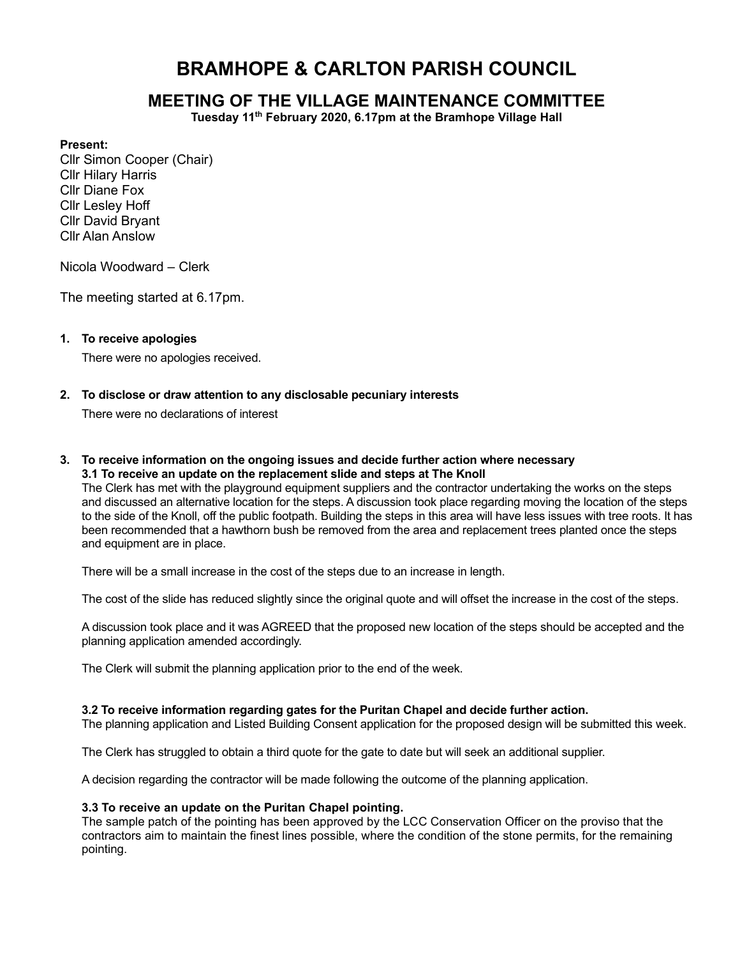# BRAMHOPE & CARLTON PARISH COUNCIL

## MEETING OF THE VILLAGE MAINTENANCE COMMITTEE

Tuesday 11<sup>th</sup> February 2020, 6.17pm at the Bramhope Village Hall

#### Present:

Cllr Simon Cooper (Chair) Cllr Hilary Harris Cllr Diane Fox Cllr Lesley Hoff Cllr David Bryant Cllr Alan Anslow

Nicola Woodward – Clerk

The meeting started at 6.17pm.

## 1. To receive apologies

There were no apologies received.

## 2. To disclose or draw attention to any disclosable pecuniary interests

There were no declarations of interest

#### 3. To receive information on the ongoing issues and decide further action where necessary 3.1 To receive an update on the replacement slide and steps at The Knoll

The Clerk has met with the playground equipment suppliers and the contractor undertaking the works on the steps and discussed an alternative location for the steps. A discussion took place regarding moving the location of the steps to the side of the Knoll, off the public footpath. Building the steps in this area will have less issues with tree roots. It has been recommended that a hawthorn bush be removed from the area and replacement trees planted once the steps and equipment are in place.

There will be a small increase in the cost of the steps due to an increase in length.

The cost of the slide has reduced slightly since the original quote and will offset the increase in the cost of the steps.

A discussion took place and it was AGREED that the proposed new location of the steps should be accepted and the planning application amended accordingly.

The Clerk will submit the planning application prior to the end of the week.

## 3.2 To receive information regarding gates for the Puritan Chapel and decide further action.

The planning application and Listed Building Consent application for the proposed design will be submitted this week.

The Clerk has struggled to obtain a third quote for the gate to date but will seek an additional supplier.

A decision regarding the contractor will be made following the outcome of the planning application.

#### 3.3 To receive an update on the Puritan Chapel pointing.

The sample patch of the pointing has been approved by the LCC Conservation Officer on the proviso that the contractors aim to maintain the finest lines possible, where the condition of the stone permits, for the remaining pointing.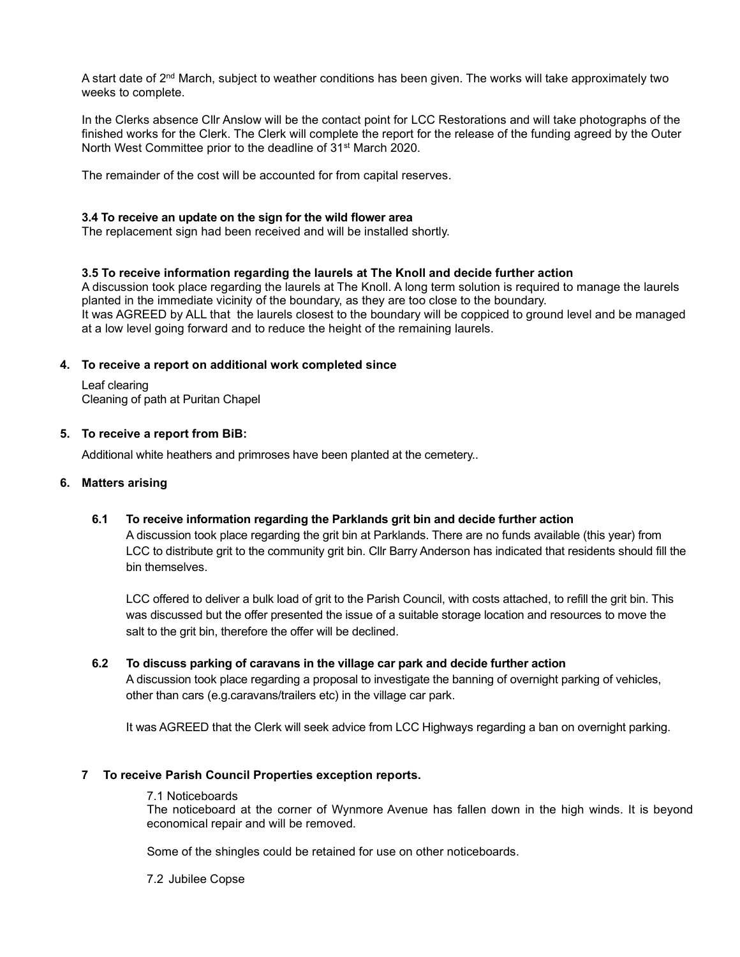A start date of 2<sup>nd</sup> March, subject to weather conditions has been given. The works will take approximately two weeks to complete.

In the Clerks absence Cllr Anslow will be the contact point for LCC Restorations and will take photographs of the finished works for the Clerk. The Clerk will complete the report for the release of the funding agreed by the Outer North West Committee prior to the deadline of 31st March 2020.

The remainder of the cost will be accounted for from capital reserves.

#### 3.4 To receive an update on the sign for the wild flower area

The replacement sign had been received and will be installed shortly.

## 3.5 To receive information regarding the laurels at The Knoll and decide further action

A discussion took place regarding the laurels at The Knoll. A long term solution is required to manage the laurels planted in the immediate vicinity of the boundary, as they are too close to the boundary. It was AGREED by ALL that the laurels closest to the boundary will be coppiced to ground level and be managed at a low level going forward and to reduce the height of the remaining laurels.

## 4. To receive a report on additional work completed since

Leaf clearing Cleaning of path at Puritan Chapel

## 5. To receive a report from BiB:

Additional white heathers and primroses have been planted at the cemetery..

## 6. Matters arising

## 6.1 To receive information regarding the Parklands grit bin and decide further action

A discussion took place regarding the grit bin at Parklands. There are no funds available (this year) from LCC to distribute grit to the community grit bin. Cllr Barry Anderson has indicated that residents should fill the bin themselves.

LCC offered to deliver a bulk load of grit to the Parish Council, with costs attached, to refill the grit bin. This was discussed but the offer presented the issue of a suitable storage location and resources to move the salt to the grit bin, therefore the offer will be declined.

## 6.2 To discuss parking of caravans in the village car park and decide further action

A discussion took place regarding a proposal to investigate the banning of overnight parking of vehicles, other than cars (e.g.caravans/trailers etc) in the village car park.

It was AGREED that the Clerk will seek advice from LCC Highways regarding a ban on overnight parking.

## 7 To receive Parish Council Properties exception reports.

#### 7.1 Noticeboards

The noticeboard at the corner of Wynmore Avenue has fallen down in the high winds. It is beyond economical repair and will be removed.

Some of the shingles could be retained for use on other noticeboards.

#### 7.2 Jubilee Copse